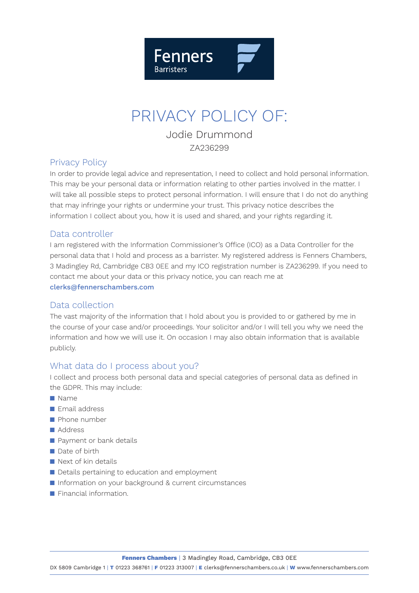

# PRIVACY POLICY OF:

Jodie Drummond ZA236299

## Privacy Policy

In order to provide legal advice and representation, I need to collect and hold personal information. This may be your personal data or information relating to other parties involved in the matter. I will take all possible steps to protect personal information. I will ensure that I do not do anything that may infringe your rights or undermine your trust. This privacy notice describes the information I collect about you, how it is used and shared, and your rights regarding it.

## Data controller

I am registered with the Information Commissioner's Office (ICO) as a Data Controller for the personal data that I hold and process as a barrister. My registered address is Fenners Chambers, 3 Madingley Rd, Cambridge CB3 0EE and my ICO registration number is ZA236299. If you need to contact me about your data or this privacy notice, you can reach me at clerks@fennerschambers.com

# Data collection

The vast majority of the information that I hold about you is provided to or gathered by me in the course of your case and/or proceedings. Your solicitor and/or I will tell you why we need the information and how we will use it. On occasion I may also obtain information that is available publicly.

# What data do I process about you?

I collect and process both personal data and special categories of personal data as defined in the GDPR. This may include:

- n Name
- $\blacksquare$  Email address
- $\blacksquare$  Phone number
- n Address
- $\blacksquare$  Payment or bank details
- $\blacksquare$  Date of birth
- $\blacksquare$  Next of kin details
- Details pertaining to education and employment
- n Information on your background & current circumstances
- **n** Financial information.

**Fenners Chambers** | 3 Madingley Road, Cambridge, CB3 0EE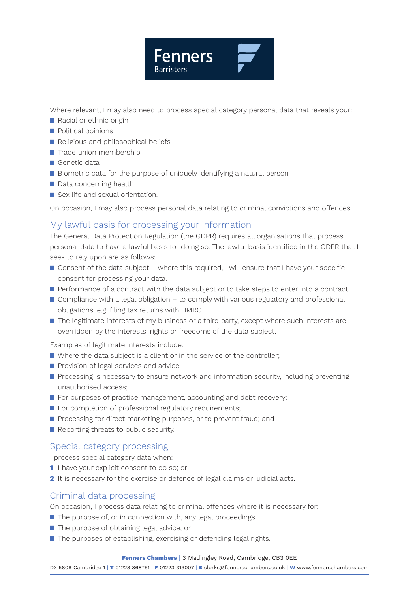

Where relevant, I may also need to process special category personal data that reveals your:

- **n** Racial or ethnic origin
- $\blacksquare$  Political opinions
- Religious and philosophical beliefs
- $\blacksquare$  Trade union membership
- $\blacksquare$  Genetic data
- Biometric data for the purpose of uniquely identifying a natural person
- $\blacksquare$  Data concerning health
- Sex life and sexual orientation.

On occasion, I may also process personal data relating to criminal convictions and offences.

# My lawful basis for processing your information

The General Data Protection Regulation (the GDPR) requires all organisations that process personal data to have a lawful basis for doing so. The lawful basis identified in the GDPR that I seek to rely upon are as follows:

- $\blacksquare$  Consent of the data subject where this required, I will ensure that I have your specific consent for processing your data.
- **n** Performance of a contract with the data subject or to take steps to enter into a contract.
- $\Box$  Compliance with a legal obligation to comply with various regulatory and professional obligations, e.g. filing tax returns with HMRC.
- $\blacksquare$  The legitimate interests of my business or a third party, except where such interests are overridden by the interests, rights or freedoms of the data subject.

Examples of legitimate interests include:

- $\blacksquare$  Where the data subject is a client or in the service of the controller;
- **n** Provision of legal services and advice;
- **n** Processing is necessary to ensure network and information security, including preventing unauthorised access;
- For purposes of practice management, accounting and debt recovery;
- **n** For completion of professional regulatory requirements;
- **n** Processing for direct marketing purposes, or to prevent fraud; and
- $\blacksquare$  Reporting threats to public security.

# Special category processing

I process special category data when:

- **1** I have your explicit consent to do so; or
- **2** It is necessary for the exercise or defence of legal claims or judicial acts.

# Criminal data processing

On occasion, I process data relating to criminal offences where it is necessary for:

- $\blacksquare$  The purpose of, or in connection with, any legal proceedings;
- The purpose of obtaining legal advice; or
- $\blacksquare$  The purposes of establishing, exercising or defending legal rights.

#### **Fenners Chambers** | 3 Madingley Road, Cambridge, CB3 0EE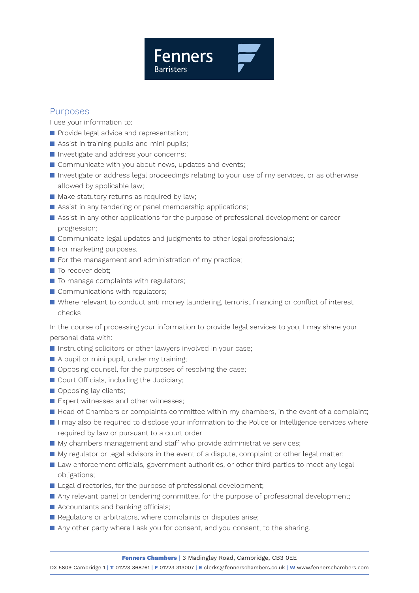

## Purposes

I use your information to:

- **n** Provide legal advice and representation;
- $\blacksquare$  Assist in training pupils and mini pupils;
- **n** Investigate and address your concerns;
- Communicate with you about news, updates and events;
- **n** Investigate or address legal proceedings relating to your use of my services, or as otherwise allowed by applicable law;
- $\blacksquare$  Make statutory returns as required by law;
- $\blacksquare$  Assist in any tendering or panel membership applications;
- **n** Assist in any other applications for the purpose of professional development or career progression;
- Communicate legal updates and judgments to other legal professionals;
- $\blacksquare$  For marketing purposes.
- $\blacksquare$  For the management and administration of my practice;
- $\blacksquare$  To recover debt:
- $\blacksquare$  To manage complaints with regulators;
- $\blacksquare$  Communications with regulators;
- n Where relevant to conduct anti money laundering, terrorist financing or conflict of interest checks

In the course of processing your information to provide legal services to you, I may share your personal data with:

- $\blacksquare$  Instructing solicitors or other lawyers involved in your case;
- A pupil or mini pupil, under my training:
- $\Box$  Opposing counsel, for the purposes of resolving the case;
- $\blacksquare$  Court Officials, including the Judiciary;
- Opposing lay clients;
- $\blacksquare$  Expert witnesses and other witnesses:
- Head of Chambers or complaints committee within my chambers, in the event of a complaint;
- $\blacksquare$  I may also be required to disclose your information to the Police or Intelligence services where required by law or pursuant to a court order
- $\blacksquare$  My chambers management and staff who provide administrative services;
- $\blacksquare$  My regulator or legal advisors in the event of a dispute, complaint or other legal matter;
- Law enforcement officials, government authorities, or other third parties to meet any legal obligations;
- Legal directories, for the purpose of professional development;
- Any relevant panel or tendering committee, for the purpose of professional development;
- $\blacksquare$  Accountants and banking officials:
- $\blacksquare$  Regulators or arbitrators, where complaints or disputes arise;
- Any other party where I ask you for consent, and you consent, to the sharing.